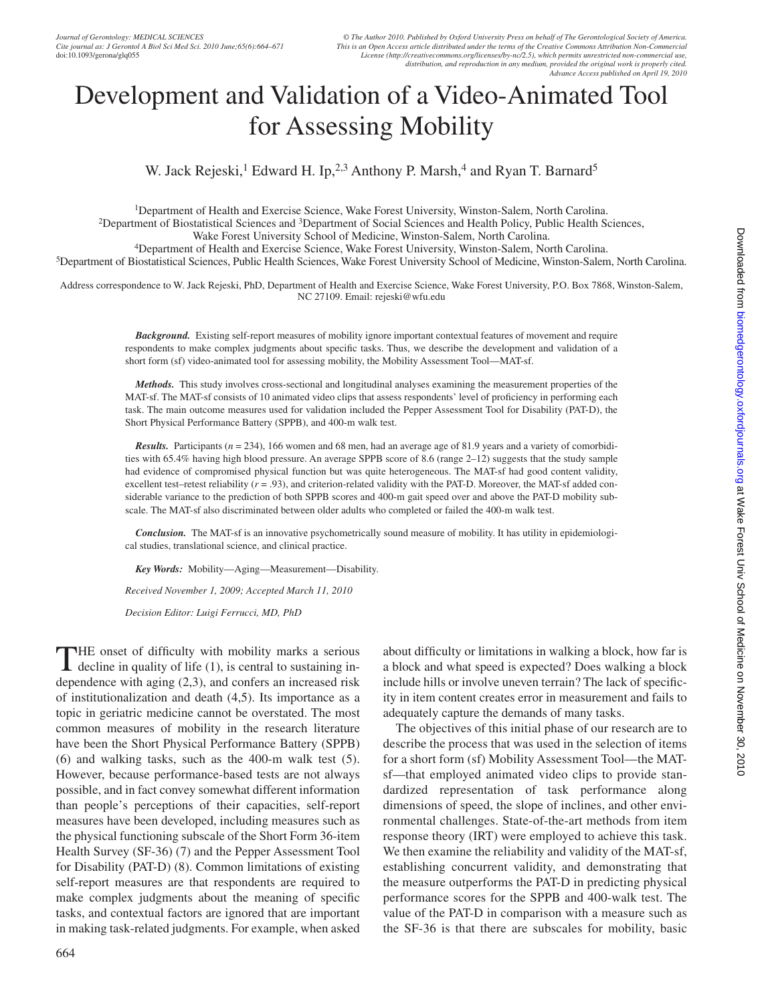# Development and Validation of a Video-Animated Tool for Assessing Mobility

W. Jack Rejeski,<sup>1</sup> Edward H. Ip,<sup>2,3</sup> Anthony P. Marsh,<sup>4</sup> and Ryan T. Barnard<sup>5</sup>

1Department of Health and Exercise Science, Wake Forest University, Winston-Salem, North Carolina. 2Department of Biostatistical Sciences and 3Department of Social Sciences and Health Policy, Public Health Sciences, Wake Forest University School of Medicine, Winston-Salem, North Carolina.<br><sup>5</sup>Department of Health and Exercise Science, Wake Forest University, Winston-Salem, North Carolina.<br><sup>5</sup>Department of Biostatistical Sciences, Publi

Address correspondence to W. Jack Rejeski, PhD, Department of Health and Exercise Science, Wake Forest University, P.O. Box 7868, Winston-Salem, NC 27109. Email: rejeski@wfu.edu

> *Background.* Existing self-report measures of mobility ignore important contextual features of movement and require respondents to make complex judgments about specific tasks. Thus, we describe the development and validation of a short form (sf) video-animated tool for assessing mobility, the Mobility Assessment Tool—MAT-sf.

> *Methods.* This study involves cross-sectional and longitudinal analyses examining the measurement properties of the MAT-sf. The MAT-sf consists of 10 animated video clips that assess respondents' level of proficiency in performing each task. The main outcome measures used for validation included the Pepper Assessment Tool for Disability (PAT-D), the Short Physical Performance Battery (SPPB), and 400-m walk test.

> *Results.* Participants (*n* = 234), 166 women and 68 men, had an average age of 81.9 years and a variety of comorbidities with 65.4% having high blood pressure. An average SPPB score of 8.6 (range 2–12) suggests that the study sample had evidence of compromised physical function but was quite heterogeneous. The MAT-sf had good content validity, excellent test–retest reliability  $(r = .93)$ , and criterion-related validity with the PAT-D. Moreover, the MAT-sf added considerable variance to the prediction of both SPPB scores and 400-m gait speed over and above the PAT-D mobility subscale. The MAT-sf also discriminated between older adults who completed or failed the 400-m walk test.

> *Conclusion.* The MAT-sf is an innovative psychometrically sound measure of mobility. It has utility in epidemiological studies, translational science, and clinical practice.

*Key Words:* Mobility—Aging—Measurement—Disability.

*Received November 1, 2009; Accepted March 11, 2010*

*Decision Editor: Luigi Ferrucci, MD, PhD*

The onset of difficulty with mobility marks a serious decline in quality of life (1), is central to sustaining independence with aging (2,3), and confers an increased risk of institutionalization and death (4,5). Its importance as a topic in geriatric medicine cannot be overstated. The most common measures of mobility in the research literature have been the Short Physical Performance Battery (SPPB) (6) and walking tasks, such as the 400-m walk test (5). However, because performance-based tests are not always possible, and in fact convey somewhat different information than people's perceptions of their capacities, self-report measures have been developed, including measures such as the physical functioning subscale of the Short Form 36-item Health Survey (SF-36) (7) and the Pepper Assessment Tool for Disability (PAT-D) (8). Common limitations of existing self-report measures are that respondents are required to make complex judgments about the meaning of specific tasks, and contextual factors are ignored that are important in making task-related judgments. For example, when asked

664

about difficulty or limitations in walking a block, how far is a block and what speed is expected? Does walking a block include hills or involve uneven terrain? The lack of specificity in item content creates error in measurement and fails to adequately capture the demands of many tasks.

The objectives of this initial phase of our research are to describe the process that was used in the selection of items for a short form (sf) Mobility Assessment Tool—the MATsf—that employed animated video clips to provide standardized representation of task performance along dimensions of speed, the slope of inclines, and other environmental challenges. State-of-the-art methods from item response theory (IRT) were employed to achieve this task. We then examine the reliability and validity of the MAT-sf, establishing concurrent validity, and demonstrating that the measure outperforms the PAT-D in predicting physical performance scores for the SPPB and 400-walk test. The value of the PAT-D in comparison with a measure such as the SF-36 is that there are subscales for mobility, basic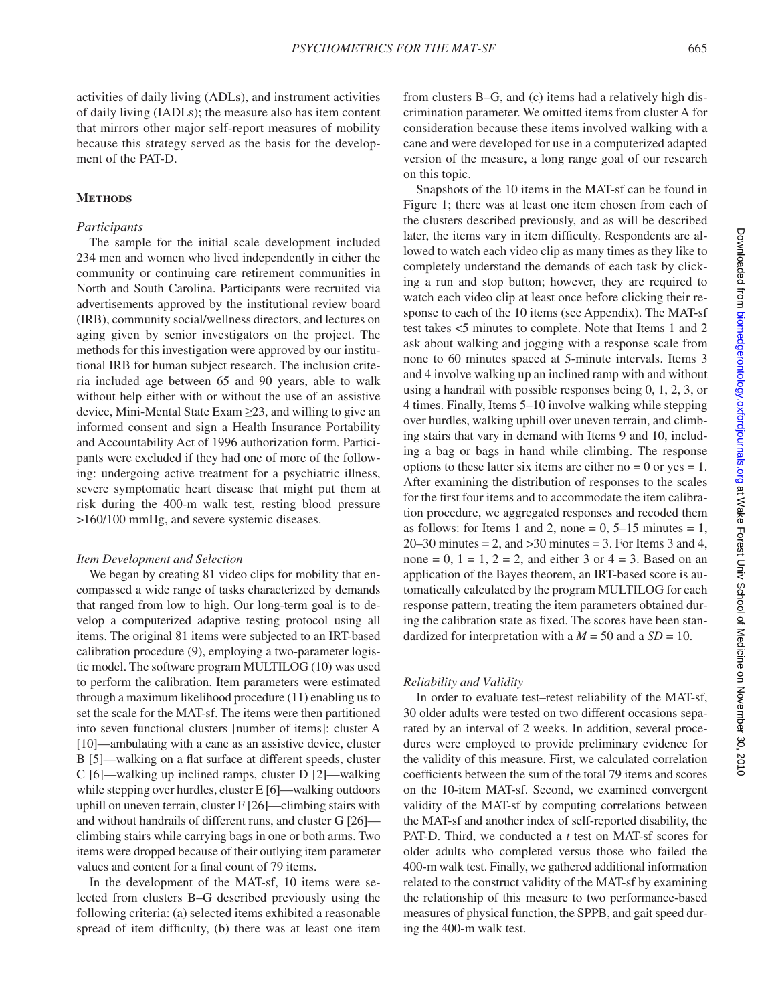activities of daily living (ADLs), and instrument activities of daily living (IADLs); the measure also has item content that mirrors other major self-report measures of mobility because this strategy served as the basis for the development of the PAT-D.

## **Methods**

#### *Participants*

The sample for the initial scale development included 234 men and women who lived independently in either the community or continuing care retirement communities in North and South Carolina. Participants were recruited via advertisements approved by the institutional review board (IRB), community social/wellness directors, and lectures on aging given by senior investigators on the project. The methods for this investigation were approved by our institutional IRB for human subject research. The inclusion criteria included age between 65 and 90 years, able to walk without help either with or without the use of an assistive device, Mini-Mental State Exam ≥23, and willing to give an informed consent and sign a Health Insurance Portability and Accountability Act of 1996 authorization form. Participants were excluded if they had one of more of the following: undergoing active treatment for a psychiatric illness, severe symptomatic heart disease that might put them at risk during the 400-m walk test, resting blood pressure >160/100 mmHg, and severe systemic diseases.

## *Item Development and Selection*

We began by creating 81 video clips for mobility that encompassed a wide range of tasks characterized by demands that ranged from low to high. Our long-term goal is to develop a computerized adaptive testing protocol using all items. The original 81 items were subjected to an IRT-based calibration procedure (9), employing a two-parameter logistic model. The software program MULTILOG (10) was used to perform the calibration. Item parameters were estimated through a maximum likelihood procedure (11) enabling us to set the scale for the MAT-sf. The items were then partitioned into seven functional clusters [number of items]: cluster A [10]—ambulating with a cane as an assistive device, cluster B [5]—walking on a flat surface at different speeds, cluster C [6]—walking up inclined ramps, cluster D [2]—walking while stepping over hurdles, cluster E [6]—walking outdoors uphill on uneven terrain, cluster F [26]—climbing stairs with and without handrails of different runs, and cluster G [26] climbing stairs while carrying bags in one or both arms. Two items were dropped because of their outlying item parameter values and content for a final count of 79 items.

In the development of the MAT-sf, 10 items were selected from clusters B–G described previously using the following criteria: (a) selected items exhibited a reasonable spread of item difficulty, (b) there was at least one item from clusters B–G, and (c) items had a relatively high discrimination parameter. We omitted items from cluster A for consideration because these items involved walking with a cane and were developed for use in a computerized adapted version of the measure, a long range goal of our research on this topic.

Snapshots of the 10 items in the MAT-sf can be found in Figure 1; there was at least one item chosen from each of the clusters described previously, and as will be described later, the items vary in item difficulty. Respondents are allowed to watch each video clip as many times as they like to completely understand the demands of each task by clicking a run and stop button; however, they are required to watch each video clip at least once before clicking their response to each of the 10 items (see Appendix). The MAT-sf test takes <5 minutes to complete. Note that Items 1 and 2 ask about walking and jogging with a response scale from none to 60 minutes spaced at 5-minute intervals. Items 3 and 4 involve walking up an inclined ramp with and without using a handrail with possible responses being 0, 1, 2, 3, or 4 times. Finally, Items 5–10 involve walking while stepping over hurdles, walking uphill over uneven terrain, and climbing stairs that vary in demand with Items 9 and 10, including a bag or bags in hand while climbing. The response options to these latter six items are either no  $= 0$  or yes  $= 1$ . After examining the distribution of responses to the scales for the first four items and to accommodate the item calibration procedure, we aggregated responses and recoded them as follows: for Items 1 and 2, none =  $0, 5-15$  minutes = 1,  $20-30$  minutes = 2, and  $>30$  minutes = 3. For Items 3 and 4, none = 0,  $1 = 1$ ,  $2 = 2$ , and either 3 or  $4 = 3$ . Based on an application of the Bayes theorem, an IRT-based score is automatically calculated by the program MULTILOG for each response pattern, treating the item parameters obtained during the calibration state as fixed. The scores have been standardized for interpretation with a  $M = 50$  and a  $SD = 10$ .

## *Reliability and Validity*

In order to evaluate test–retest reliability of the MAT-sf, 30 older adults were tested on two different occasions separated by an interval of 2 weeks. In addition, several procedures were employed to provide preliminary evidence for the validity of this measure. First, we calculated correlation coefficients between the sum of the total 79 items and scores on the 10-item MAT-sf. Second, we examined convergent validity of the MAT-sf by computing correlations between the MAT-sf and another index of self-reported disability, the PAT-D. Third, we conducted a *t* test on MAT-sf scores for older adults who completed versus those who failed the 400-m walk test. Finally, we gathered additional information related to the construct validity of the MAT-sf by examining the relationship of this measure to two performance-based measures of physical function, the SPPB, and gait speed during the 400-m walk test.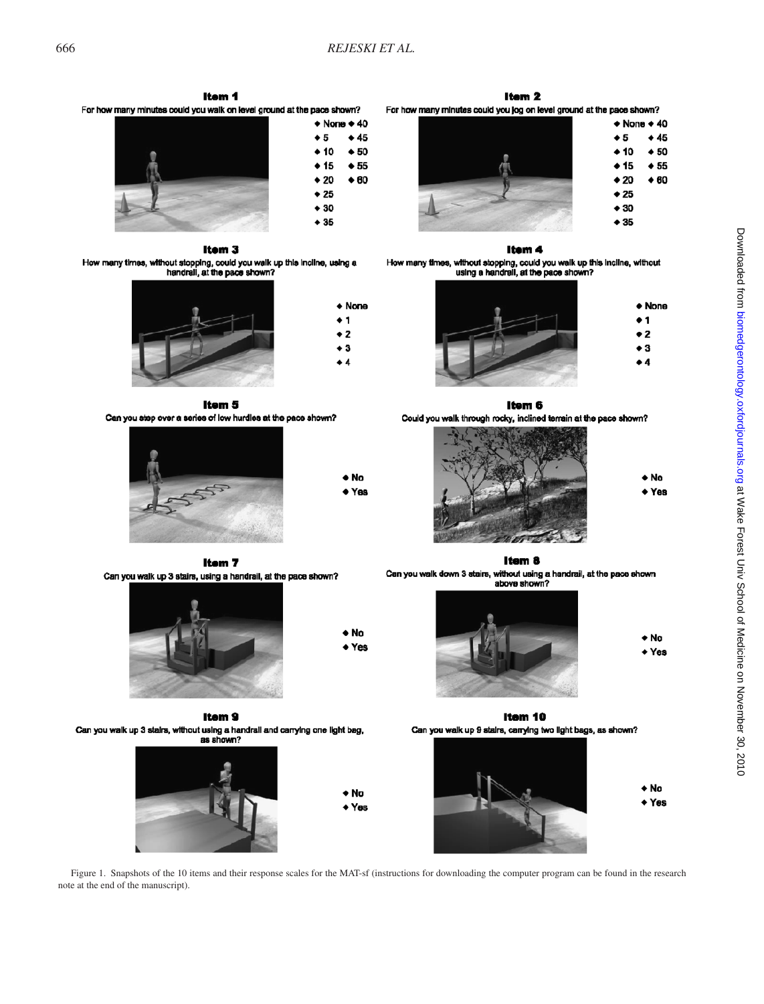$\triangle$  None  $\triangle$  40

 $\div$  45

 $\div$  50

 $\div 55$ 

 $\triangle$  60

 $\triangle$  None

 $\bullet$  1

 $\bullet$  2

 $\bullet$  3

 $\bullet$  4

 $\bullet$  5

 $\div$  10

 $\bullet$  15

 $+20$ 

 $\div$  25

 $\bullet$  30

 $\div$  35

Item<sub>1</sub> For how many minutes could you walk on level ground at the pace shown?



Item<sub>3</sub> How many times, without stopping, could you walk up this incline, using a<br>handrall, at the pace shown?



Item 5 Can you step over a series of low hurdles at the pace shown?



 $\bullet$  No  $\bullet$  Yes

+ No

+ Yes

Item<sub>7</sub> Can you walk up 3 stairs, using a handrail, at the pace shown?



Item<sub>9</sub> Can you walk up 3 stairs, without using a handrall and carrying one light bag, as shown?





Itam<sub>2</sub> For how many minutes could you jog on level ground at the pace shown?



Itam 4

How many times, without stopping, could you walk up this incline, without using a handrall, at the pace shown?



Item 6

Could you walk through rocky, inclined terrain at the pace shown?

 $\bullet$  No + Yes



Item 8 Can you walk down 3 stairs, without using a handrail, at the pace shown<br>above shown?



Item 10 Can you walk up 9 stairs, carrying two light bags, as shown?



Figure 1. Snapshots of the 10 items and their response scales for the MAT-sf (instructions for downloading the computer program can be found in the research note at the end of the manuscript).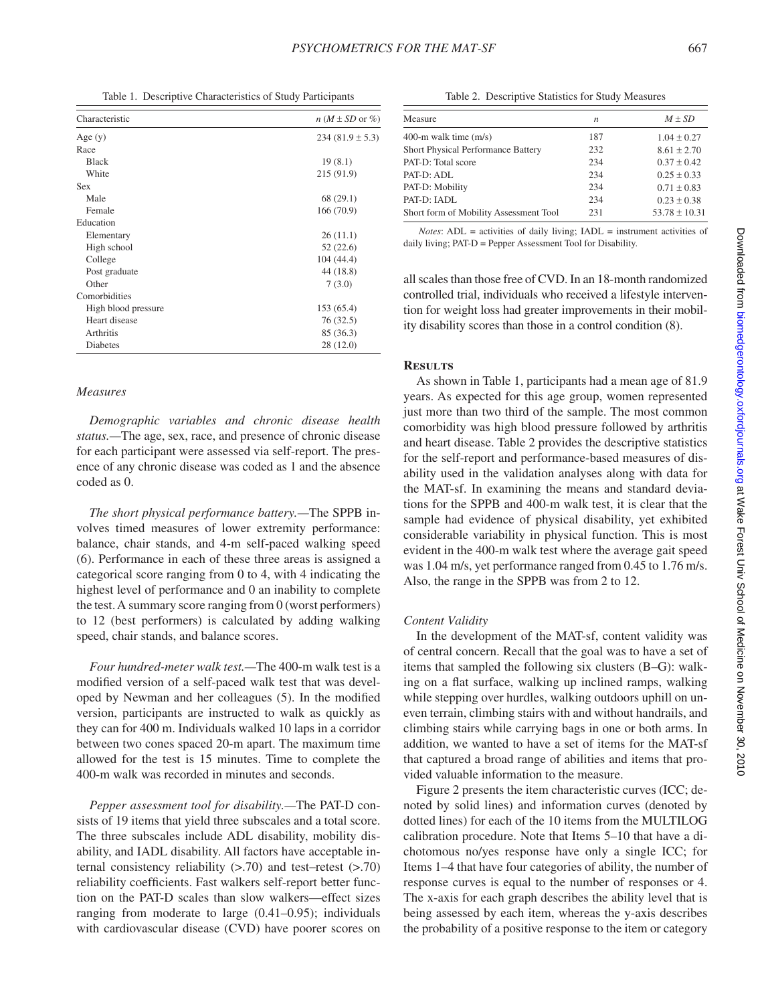Table 1. Descriptive Characteristics of Study Participants

| Characteristic      | $n(M \pm SD \text{ or } \%)$ |
|---------------------|------------------------------|
| Age $(y)$           | $234(81.9 \pm 5.3)$          |
| Race                |                              |
| <b>Black</b>        | 19(8.1)                      |
| White               | 215 (91.9)                   |
| <b>Sex</b>          |                              |
| Male                | 68 (29.1)                    |
| Female              | 166(70.9)                    |
| Education           |                              |
| Elementary          | 26(11.1)                     |
| High school         | 52 (22.6)                    |
| College             | 104 (44.4)                   |
| Post graduate       | 44 (18.8)                    |
| Other               | 7(3.0)                       |
| Comorbidities       |                              |
| High blood pressure | 153 (65.4)                   |
| Heart disease       | 76(32.5)                     |
| Arthritis           | 85 (36.3)                    |
| Diabetes            | 28 (12.0)                    |

## *Measures*

*Demographic variables and chronic disease health status.—*The age, sex, race, and presence of chronic disease for each participant were assessed via self-report. The presence of any chronic disease was coded as 1 and the absence coded as 0.

*The short physical performance battery.—*The SPPB involves timed measures of lower extremity performance: balance, chair stands, and 4-m self-paced walking speed (6). Performance in each of these three areas is assigned a categorical score ranging from 0 to 4, with 4 indicating the highest level of performance and 0 an inability to complete the test. A summary score ranging from 0 (worst performers) to 12 (best performers) is calculated by adding walking speed, chair stands, and balance scores.

*Four hundred-meter walk test.—*The 400-m walk test is a modified version of a self-paced walk test that was developed by Newman and her colleagues (5). In the modified version, participants are instructed to walk as quickly as they can for 400 m. Individuals walked 10 laps in a corridor between two cones spaced 20-m apart. The maximum time allowed for the test is 15 minutes. Time to complete the 400-m walk was recorded in minutes and seconds.

*Pepper assessment tool for disability.—*The PAT-D consists of 19 items that yield three subscales and a total score. The three subscales include ADL disability, mobility disability, and IADL disability. All factors have acceptable internal consistency reliability (>.70) and test–retest (>.70) reliability coefficients. Fast walkers self-report better function on the PAT-D scales than slow walkers—effect sizes ranging from moderate to large (0.41–0.95); individuals with cardiovascular disease (CVD) have poorer scores on

Table 2. Descriptive Statistics for Study Measures

| Measure                                | n   | $M \pm SD$        |
|----------------------------------------|-----|-------------------|
| 400-m walk time $(m/s)$                | 187 | $1.04 \pm 0.27$   |
| Short Physical Performance Battery     | 232 | $8.61 \pm 2.70$   |
| PAT-D: Total score                     | 234 | $0.37 + 0.42$     |
| PAT-D: ADL                             | 234 | $0.25 + 0.33$     |
| PAT-D: Mobility                        | 234 | $0.71 + 0.83$     |
| PAT-D: IADL                            | 234 | $0.23 + 0.38$     |
| Short form of Mobility Assessment Tool | 231 | $53.78 \pm 10.31$ |
|                                        |     |                   |

*Notes*: ADL = activities of daily living; IADL = instrument activities of daily living; PAT-D = Pepper Assessment Tool for Disability.

all scales than those free of CVD. In an 18-month randomized controlled trial, individuals who received a lifestyle intervention for weight loss had greater improvements in their mobility disability scores than those in a control condition (8).

## **Results**

As shown in Table 1, participants had a mean age of 81.9 years. As expected for this age group, women represented just more than two third of the sample. The most common comorbidity was high blood pressure followed by arthritis and heart disease. Table 2 provides the descriptive statistics for the self-report and performance-based measures of disability used in the validation analyses along with data for the MAT-sf. In examining the means and standard deviations for the SPPB and 400-m walk test, it is clear that the sample had evidence of physical disability, yet exhibited considerable variability in physical function. This is most evident in the 400-m walk test where the average gait speed was 1.04 m/s, yet performance ranged from 0.45 to 1.76 m/s. Also, the range in the SPPB was from 2 to 12.

#### *Content Validity*

In the development of the MAT-sf, content validity was of central concern. Recall that the goal was to have a set of items that sampled the following six clusters (B–G): walking on a flat surface, walking up inclined ramps, walking while stepping over hurdles, walking outdoors uphill on uneven terrain, climbing stairs with and without handrails, and climbing stairs while carrying bags in one or both arms. In addition, we wanted to have a set of items for the MAT-sf that captured a broad range of abilities and items that provided valuable information to the measure.

Figure 2 presents the item characteristic curves (ICC; denoted by solid lines) and information curves (denoted by dotted lines) for each of the 10 items from the MULTILOG calibration procedure. Note that Items 5–10 that have a dichotomous no/yes response have only a single ICC; for Items 1–4 that have four categories of ability, the number of response curves is equal to the number of responses or 4. The x-axis for each graph describes the ability level that is being assessed by each item, whereas the y-axis describes the probability of a positive response to the item or category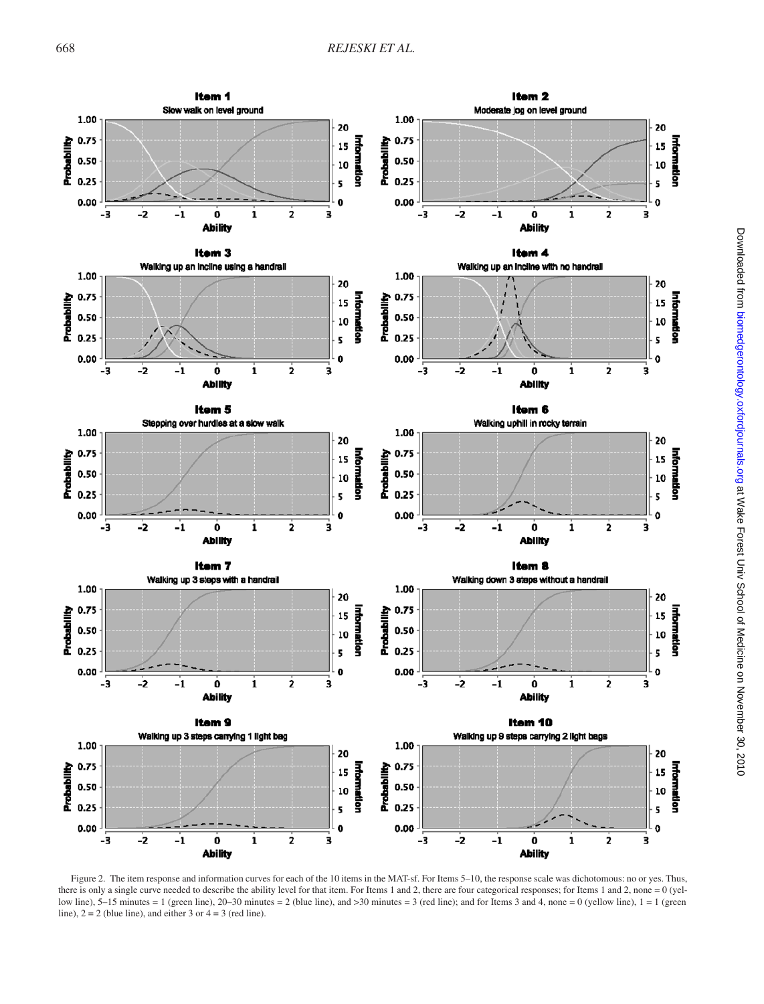

Figure 2. The item response and information curves for each of the 10 items in the MAT-sf. For Items 5–10, the response scale was dichotomous: no or yes. Thus, there is only a single curve needed to describe the ability level for that item. For Items 1 and 2, there are four categorical responses; for Items 1 and 2, none = 0 (yellow line),  $5-15$  minutes = 1 (green line),  $20-30$  minutes = 2 (blue line), and  $>30$  minutes = 3 (red line); and for Items 3 and 4, none = 0 (yellow line), 1 = 1 (green line),  $2 = 2$  (blue line), and either 3 or  $4 = 3$  (red line).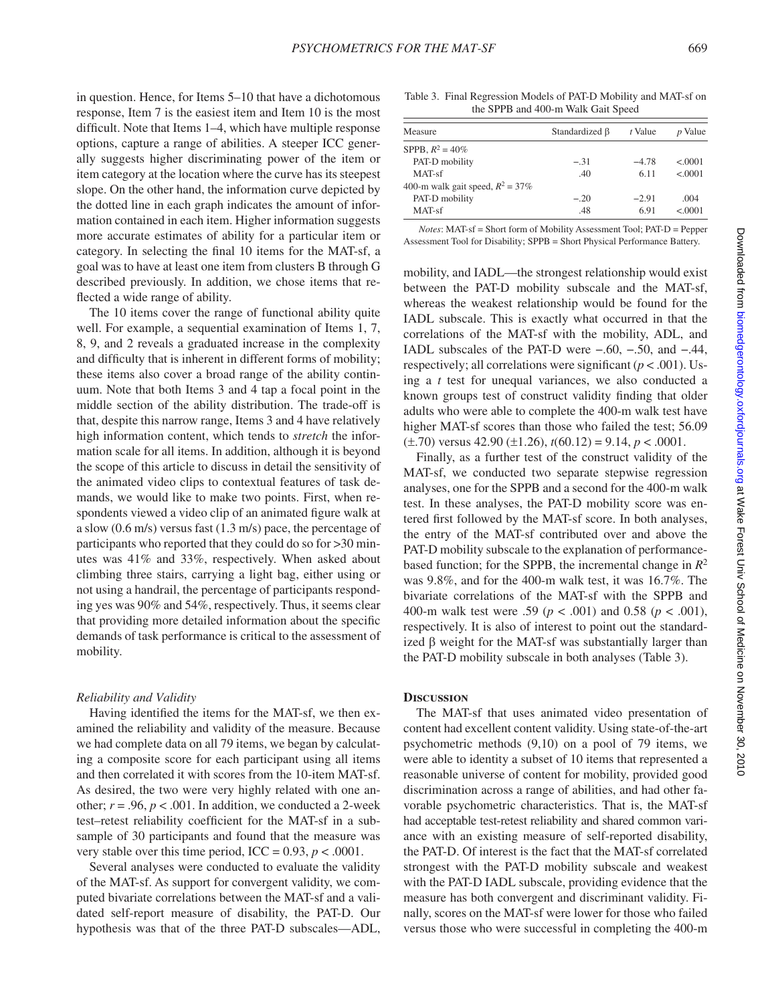in question. Hence, for Items 5–10 that have a dichotomous response, Item 7 is the easiest item and Item 10 is the most difficult. Note that Items 1–4, which have multiple response options, capture a range of abilities. A steeper ICC generally suggests higher discriminating power of the item or item category at the location where the curve has its steepest slope. On the other hand, the information curve depicted by the dotted line in each graph indicates the amount of information contained in each item. Higher information suggests more accurate estimates of ability for a particular item or category. In selecting the final 10 items for the MAT-sf, a goal was to have at least one item from clusters B through G described previously. In addition, we chose items that reflected a wide range of ability.

The 10 items cover the range of functional ability quite well. For example, a sequential examination of Items 1, 7, 8, 9, and 2 reveals a graduated increase in the complexity and difficulty that is inherent in different forms of mobility; these items also cover a broad range of the ability continuum. Note that both Items 3 and 4 tap a focal point in the middle section of the ability distribution. The trade-off is that, despite this narrow range, Items 3 and 4 have relatively high information content, which tends to *stretch* the information scale for all items. In addition, although it is beyond the scope of this article to discuss in detail the sensitivity of the animated video clips to contextual features of task demands, we would like to make two points. First, when respondents viewed a video clip of an animated figure walk at a slow (0.6 m/s) versus fast (1.3 m/s) pace, the percentage of participants who reported that they could do so for >30 minutes was 41% and 33%, respectively. When asked about climbing three stairs, carrying a light bag, either using or not using a handrail, the percentage of participants responding yes was 90% and 54%, respectively. Thus, it seems clear that providing more detailed information about the specific demands of task performance is critical to the assessment of mobility.

#### *Reliability and Validity*

Having identified the items for the MAT-sf, we then examined the reliability and validity of the measure. Because we had complete data on all 79 items, we began by calculating a composite score for each participant using all items and then correlated it with scores from the 10-item MAT-sf. As desired, the two were very highly related with one another;  $r = .96$ ,  $p < .001$ . In addition, we conducted a 2-week test–retest reliability coefficient for the MAT-sf in a subsample of 30 participants and found that the measure was very stable over this time period, ICC =  $0.93$ ,  $p < .0001$ .

Several analyses were conducted to evaluate the validity of the MAT-sf. As support for convergent validity, we computed bivariate correlations between the MAT-sf and a validated self-report measure of disability, the PAT-D. Our hypothesis was that of the three PAT-D subscales—ADL,

Table 3. Final Regression Models of PAT-D Mobility and MAT-sf on the SPPB and 400-m Walk Gait Speed

| Standardized B | t Value | <i>p</i> Value |
|----------------|---------|----------------|
|                |         |                |
| $-.31$         | $-478$  | < 0001         |
| .40            | 6.11    | < 0001         |
|                |         |                |
| $-.20$         | $-2.91$ | .004           |
| .48            | 6.91    | < 0001         |
|                |         |                |

*Notes*: MAT-sf = Short form of Mobility Assessment Tool; PAT-D = Pepper Assessment Tool for Disability; SPPB = Short Physical Performance Battery.

mobility, and IADL—the strongest relationship would exist between the PAT-D mobility subscale and the MAT-sf, whereas the weakest relationship would be found for the IADL subscale. This is exactly what occurred in that the correlations of the MAT-sf with the mobility, ADL, and IADL subscales of the PAT-D were −.60, −.50, and −.44, respectively; all correlations were significant  $(p < .001)$ . Using a *t* test for unequal variances, we also conducted a known groups test of construct validity finding that older adults who were able to complete the 400-m walk test have higher MAT-sf scores than those who failed the test; 56.09 (±.70) versus 42.90 (±1.26), *t*(60.12) = 9.14, *p* < .0001.

Finally, as a further test of the construct validity of the MAT-sf, we conducted two separate stepwise regression analyses, one for the SPPB and a second for the 400-m walk test. In these analyses, the PAT-D mobility score was entered first followed by the MAT-sf score. In both analyses, the entry of the MAT-sf contributed over and above the PAT-D mobility subscale to the explanation of performancebased function; for the SPPB, the incremental change in *R*<sup>2</sup> was 9.8%, and for the 400-m walk test, it was 16.7%. The bivariate correlations of the MAT-sf with the SPPB and 400-m walk test were .59 (*p* < .001) and 0.58 (*p* < .001), respectively. It is also of interest to point out the standardized  $\beta$  weight for the MAT-sf was substantially larger than the PAT-D mobility subscale in both analyses (Table 3).

### **Discussion**

The MAT-sf that uses animated video presentation of content had excellent content validity. Using state-of-the-art psychometric methods (9,10) on a pool of 79 items, we were able to identity a subset of 10 items that represented a reasonable universe of content for mobility, provided good discrimination across a range of abilities, and had other favorable psychometric characteristics. That is, the MAT-sf had acceptable test-retest reliability and shared common variance with an existing measure of self-reported disability, the PAT-D. Of interest is the fact that the MAT-sf correlated strongest with the PAT-D mobility subscale and weakest with the PAT-D IADL subscale, providing evidence that the measure has both convergent and discriminant validity. Finally, scores on the MAT-sf were lower for those who failed versus those who were successful in completing the 400-m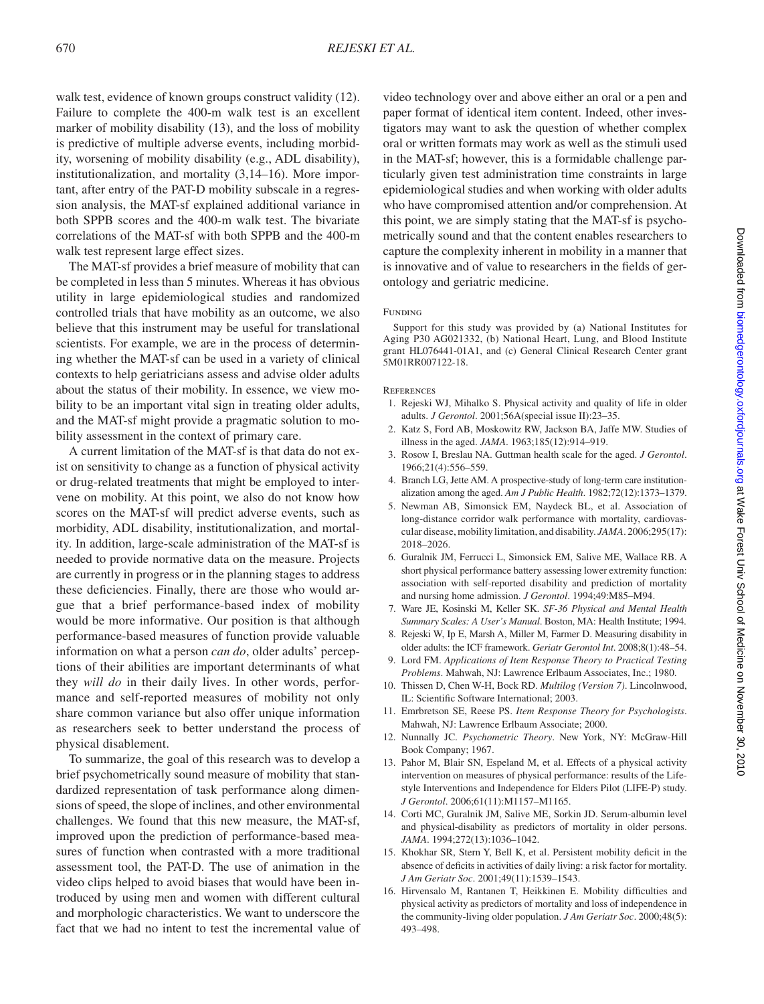walk test, evidence of known groups construct validity (12). Failure to complete the 400-m walk test is an excellent marker of mobility disability (13), and the loss of mobility is predictive of multiple adverse events, including morbidity, worsening of mobility disability (e.g., ADL disability), institutionalization, and mortality (3,14–16). More important, after entry of the PAT-D mobility subscale in a regression analysis, the MAT-sf explained additional variance in both SPPB scores and the 400-m walk test. The bivariate correlations of the MAT-sf with both SPPB and the 400-m walk test represent large effect sizes.

The MAT-sf provides a brief measure of mobility that can be completed in less than 5 minutes. Whereas it has obvious utility in large epidemiological studies and randomized controlled trials that have mobility as an outcome, we also believe that this instrument may be useful for translational scientists. For example, we are in the process of determining whether the MAT-sf can be used in a variety of clinical contexts to help geriatricians assess and advise older adults about the status of their mobility. In essence, we view mobility to be an important vital sign in treating older adults, and the MAT-sf might provide a pragmatic solution to mobility assessment in the context of primary care.

A current limitation of the MAT-sf is that data do not exist on sensitivity to change as a function of physical activity or drug-related treatments that might be employed to intervene on mobility. At this point, we also do not know how scores on the MAT-sf will predict adverse events, such as morbidity, ADL disability, institutionalization, and mortality. In addition, large-scale administration of the MAT-sf is needed to provide normative data on the measure. Projects are currently in progress or in the planning stages to address these deficiencies. Finally, there are those who would argue that a brief performance-based index of mobility would be more informative. Our position is that although performance-based measures of function provide valuable information on what a person *can do*, older adults' perceptions of their abilities are important determinants of what they *will do* in their daily lives. In other words, performance and self-reported measures of mobility not only share common variance but also offer unique information as researchers seek to better understand the process of physical disablement.

To summarize, the goal of this research was to develop a brief psychometrically sound measure of mobility that standardized representation of task performance along dimensions of speed, the slope of inclines, and other environmental challenges. We found that this new measure, the MAT-sf, improved upon the prediction of performance-based measures of function when contrasted with a more traditional assessment tool, the PAT-D. The use of animation in the video clips helped to avoid biases that would have been introduced by using men and women with different cultural and morphologic characteristics. We want to underscore the fact that we had no intent to test the incremental value of video technology over and above either an oral or a pen and paper format of identical item content. Indeed, other investigators may want to ask the question of whether complex oral or written formats may work as well as the stimuli used in the MAT-sf; however, this is a formidable challenge particularly given test administration time constraints in large epidemiological studies and when working with older adults who have compromised attention and/or comprehension. At this point, we are simply stating that the MAT-sf is psychometrically sound and that the content enables researchers to capture the complexity inherent in mobility in a manner that is innovative and of value to researchers in the fields of gerontology and geriatric medicine.

#### FUNDING

Support for this study was provided by (a) National Institutes for Aging P30 AG021332, (b) National Heart, Lung, and Blood Institute grant HL076441-01A1, and (c) General Clinical Research Center grant 5M01RR007122-18.

#### **REFERENCES**

- 1. Rejeski WJ, Mihalko S. Physical activity and quality of life in older adults. *J Gerontol*. 2001;56A(special issue II):23–35.
- 2. Katz S, Ford AB, Moskowitz RW, Jackson BA, Jaffe MW. Studies of illness in the aged. *JAMA*. 1963;185(12):914–919.
- 3. Rosow I, Breslau NA. Guttman health scale for the aged. *J Gerontol*. 1966;21(4):556–559.
- 4. Branch LG, Jette AM. A prospective-study of long-term care institutionalization among the aged. *Am J Public Health*. 1982;72(12):1373–1379.
- 5. Newman AB, Simonsick EM, Naydeck BL, et al. Association of long-distance corridor walk performance with mortality, cardiovascular disease, mobility limitation, and disability. *JAMA*. 2006;295(17): 2018–2026.
- 6. Guralnik JM, Ferrucci L, Simonsick EM, Salive ME, Wallace RB. A short physical performance battery assessing lower extremity function: association with self-reported disability and prediction of mortality and nursing home admission. *J Gerontol*. 1994;49:M85–M94.
- 7. Ware JE, Kosinski M, Keller SK. *SF-36 Physical and Mental Health Summary Scales: A User's Manual*. Boston, MA: Health Institute; 1994.
- 8. Rejeski W, Ip E, Marsh A, Miller M, Farmer D. Measuring disability in older adults: the ICF framework. *Geriatr Gerontol Int*. 2008;8(1):48–54.
- 9. Lord FM. *Applications of Item Response Theory to Practical Testing Problems*. Mahwah, NJ: Lawrence Erlbaum Associates, Inc.; 1980.
- 10. Thissen D, Chen W-H, Bock RD. *Multilog (Version 7)*. Lincolnwood, IL: Scientific Software International; 2003.
- 11. Emrbretson SE, Reese PS. *Item Response Theory for Psychologists*. Mahwah, NJ: Lawrence Erlbaum Associate; 2000.
- 12. Nunnally JC. *Psychometric Theory*. New York, NY: McGraw-Hill Book Company; 1967.
- 13. Pahor M, Blair SN, Espeland M, et al. Effects of a physical activity intervention on measures of physical performance: results of the Lifestyle Interventions and Independence for Elders Pilot (LIFE-P) study. *J Gerontol*. 2006;61(11):M1157–M1165.
- 14. Corti MC, Guralnik JM, Salive ME, Sorkin JD. Serum-albumin level and physical-disability as predictors of mortality in older persons. *JAMA*. 1994;272(13):1036–1042.
- 15. Khokhar SR, Stern Y, Bell K, et al. Persistent mobility deficit in the absence of deficits in activities of daily living: a risk factor for mortality. *J Am Geriatr Soc*. 2001;49(11):1539–1543.
- 16. Hirvensalo M, Rantanen T, Heikkinen E. Mobility difficulties and physical activity as predictors of mortality and loss of independence in the community-living older population. *J Am Geriatr Soc*. 2000;48(5): 493–498.